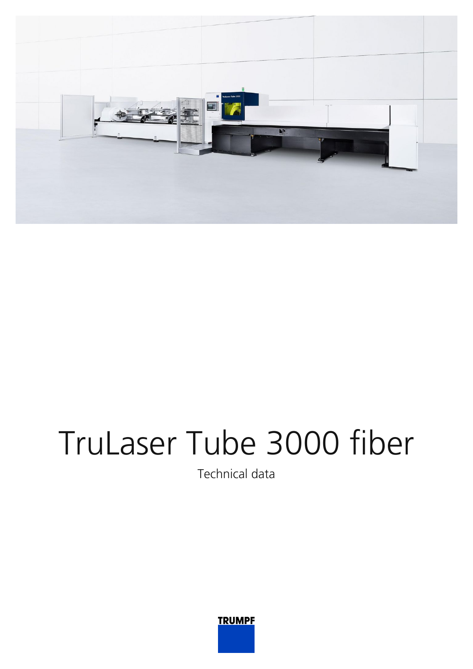

## TruLaser Tube 3000 fiber

Technical data

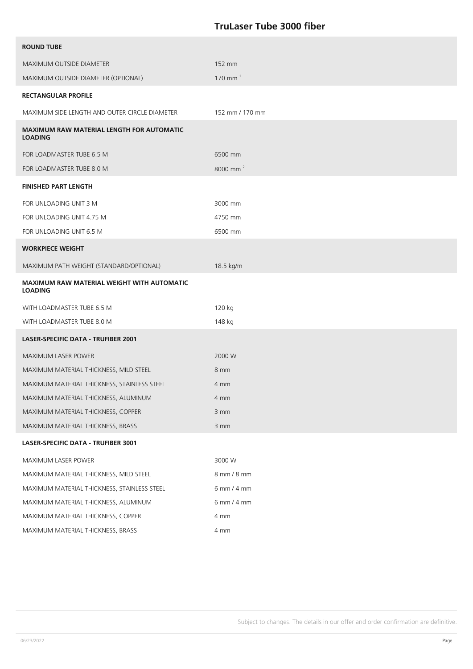## **TruLaser Tube 3000 fiber**

| <b>ROUND TUBE</b>                                                   |                       |
|---------------------------------------------------------------------|-----------------------|
| MAXIMUM OUTSIDE DIAMETER                                            | 152 mm                |
| MAXIMUM OUTSIDE DIAMETER (OPTIONAL)                                 | $170$ mm <sup>1</sup> |
| <b>RECTANGULAR PROFILE</b>                                          |                       |
| MAXIMUM SIDE LENGTH AND OUTER CIRCLE DIAMETER                       | 152 mm / 170 mm       |
| <b>MAXIMUM RAW MATERIAL LENGTH FOR AUTOMATIC</b><br><b>LOADING</b>  |                       |
| FOR LOADMASTER TUBE 6.5 M                                           | 6500 mm               |
| FOR LOADMASTER TUBE 8.0 M                                           | 8000 mm <sup>2</sup>  |
| <b>FINISHED PART LENGTH</b>                                         |                       |
| FOR UNLOADING UNIT 3 M                                              | 3000 mm               |
| FOR UNLOADING UNIT 4.75 M                                           | 4750 mm               |
| FOR UNLOADING UNIT 6.5 M                                            | 6500 mm               |
| <b>WORKPIECE WEIGHT</b>                                             |                       |
| MAXIMUM PATH WEIGHT (STANDARD/OPTIONAL)                             | 18.5 kg/m             |
| <b>MAXIMUM RAW MATERIAL WEIGHT WITH AUTOMATIC</b><br><b>LOADING</b> |                       |
| WITH LOADMASTER TUBE 6.5 M                                          | 120 kg                |
| WITH LOADMASTER TUBE 8.0 M                                          | 148 kg                |
| <b>LASER-SPECIFIC DATA - TRUFIBER 2001</b>                          |                       |
| <b>MAXIMUM LASER POWER</b>                                          | 2000 W                |
| MAXIMUM MATERIAL THICKNESS, MILD STEEL                              | 8 mm                  |
| MAXIMUM MATERIAL THICKNESS, STAINLESS STEEL                         | 4 mm                  |
| MAXIMUM MATERIAL THICKNESS, ALUMINUM                                | 4 mm                  |
| MAXIMUM MATERIAL THICKNESS, COPPER                                  | 3 mm                  |
| MAXIMUM MATERIAL THICKNESS, BRASS                                   | 3 mm                  |
| LASER-SPECIFIC DATA - TRUFIBER 3001                                 |                       |
| MAXIMUM LASER POWER                                                 | 3000 W                |
| MAXIMUM MATERIAL THICKNESS, MILD STEEL                              | 8 mm / 8 mm           |
| MAXIMUM MATERIAL THICKNESS, STAINLESS STEEL                         | 6 mm / 4 mm           |
| MAXIMUM MATERIAL THICKNESS, ALUMINUM                                | 6 mm / 4 mm           |
| MAXIMUM MATERIAL THICKNESS, COPPER                                  | 4 mm                  |
| MAXIMUM MATERIAL THICKNESS, BRASS                                   | 4 mm                  |